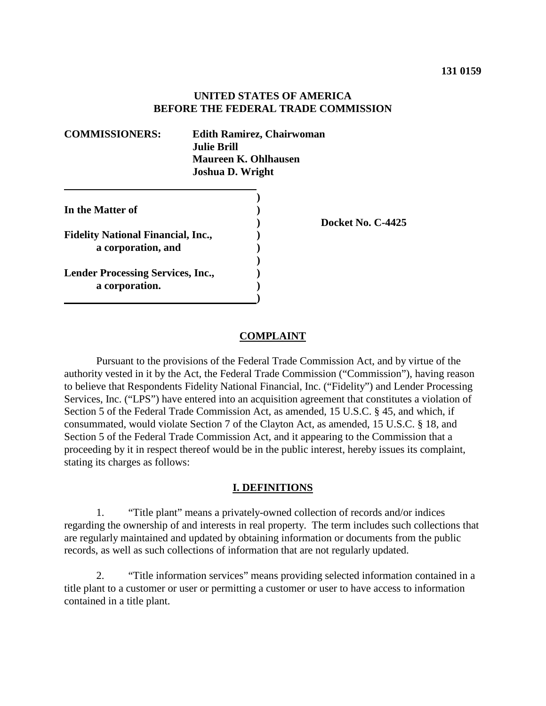## **UNITED STATES OF AMERICA BEFORE THE FEDERAL TRADE COMMISSION**

| <b>COMMISSIONERS:</b><br><b>Edith Ramirez, Chairwoman</b><br><b>Julie Brill</b><br><b>Maureen K. Ohlhausen</b><br><b>Joshua D. Wright</b> |  |                   |
|-------------------------------------------------------------------------------------------------------------------------------------------|--|-------------------|
|                                                                                                                                           |  |                   |
| In the Matter of                                                                                                                          |  |                   |
|                                                                                                                                           |  | Docket No. C-4425 |
| <b>Fidelity National Financial, Inc.,</b>                                                                                                 |  |                   |
| a corporation, and                                                                                                                        |  |                   |
|                                                                                                                                           |  |                   |
| <b>Lender Processing Services, Inc.,</b>                                                                                                  |  |                   |
| a corporation.                                                                                                                            |  |                   |
|                                                                                                                                           |  |                   |

#### **COMPLAINT**

Pursuant to the provisions of the Federal Trade Commission Act, and by virtue of the authority vested in it by the Act, the Federal Trade Commission ("Commission"), having reason to believe that Respondents Fidelity National Financial, Inc. ("Fidelity") and Lender Processing Services, Inc. ("LPS") have entered into an acquisition agreement that constitutes a violation of Section 5 of the Federal Trade Commission Act, as amended, 15 U.S.C. § 45, and which, if consummated, would violate Section 7 of the Clayton Act, as amended, 15 U.S.C. § 18, and Section 5 of the Federal Trade Commission Act, and it appearing to the Commission that a proceeding by it in respect thereof would be in the public interest, hereby issues its complaint, stating its charges as follows:

#### **I. DEFINITIONS**

1. "Title plant" means a privately-owned collection of records and/or indices regarding the ownership of and interests in real property. The term includes such collections that are regularly maintained and updated by obtaining information or documents from the public records, as well as such collections of information that are not regularly updated.

2. "Title information services" means providing selected information contained in a title plant to a customer or user or permitting a customer or user to have access to information contained in a title plant.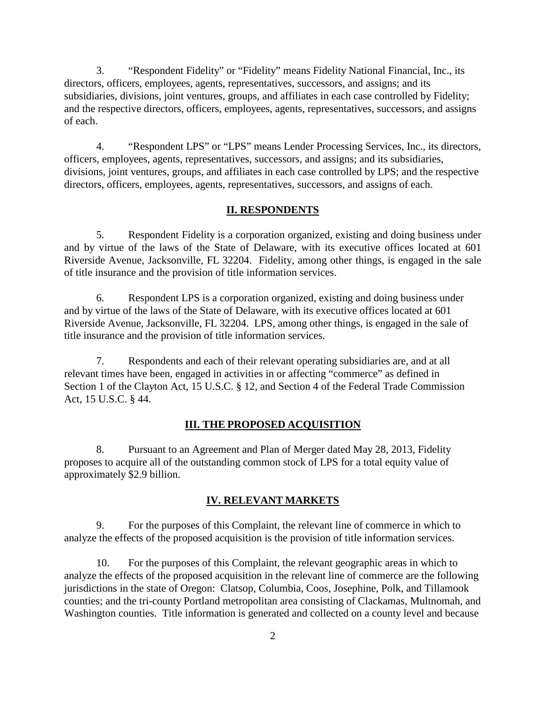3. "Respondent Fidelity" or "Fidelity" means Fidelity National Financial, Inc., its directors, officers, employees, agents, representatives, successors, and assigns; and its subsidiaries, divisions, joint ventures, groups, and affiliates in each case controlled by Fidelity; and the respective directors, officers, employees, agents, representatives, successors, and assigns of each.

4. "Respondent LPS" or "LPS" means Lender Processing Services, Inc., its directors, officers, employees, agents, representatives, successors, and assigns; and its subsidiaries, divisions, joint ventures, groups, and affiliates in each case controlled by LPS; and the respective directors, officers, employees, agents, representatives, successors, and assigns of each.

#### **II. RESPONDENTS**

5. Respondent Fidelity is a corporation organized, existing and doing business under and by virtue of the laws of the State of Delaware, with its executive offices located at 601 Riverside Avenue, Jacksonville, FL 32204. Fidelity, among other things, is engaged in the sale of title insurance and the provision of title information services.

6. Respondent LPS is a corporation organized, existing and doing business under and by virtue of the laws of the State of Delaware, with its executive offices located at 601 Riverside Avenue, Jacksonville, FL 32204. LPS, among other things, is engaged in the sale of title insurance and the provision of title information services.

7. Respondents and each of their relevant operating subsidiaries are, and at all relevant times have been, engaged in activities in or affecting "commerce" as defined in Section 1 of the Clayton Act, 15 U.S.C. § 12, and Section 4 of the Federal Trade Commission Act, 15 U.S.C. § 44.

## **III. THE PROPOSED ACQUISITION**

8. Pursuant to an Agreement and Plan of Merger dated May 28, 2013, Fidelity proposes to acquire all of the outstanding common stock of LPS for a total equity value of approximately \$2.9 billion.

## **IV. RELEVANT MARKETS**

9. For the purposes of this Complaint, the relevant line of commerce in which to analyze the effects of the proposed acquisition is the provision of title information services.

10. For the purposes of this Complaint, the relevant geographic areas in which to analyze the effects of the proposed acquisition in the relevant line of commerce are the following jurisdictions in the state of Oregon: Clatsop, Columbia, Coos, Josephine, Polk, and Tillamook counties; and the tri-county Portland metropolitan area consisting of Clackamas, Multnomah, and Washington counties. Title information is generated and collected on a county level and because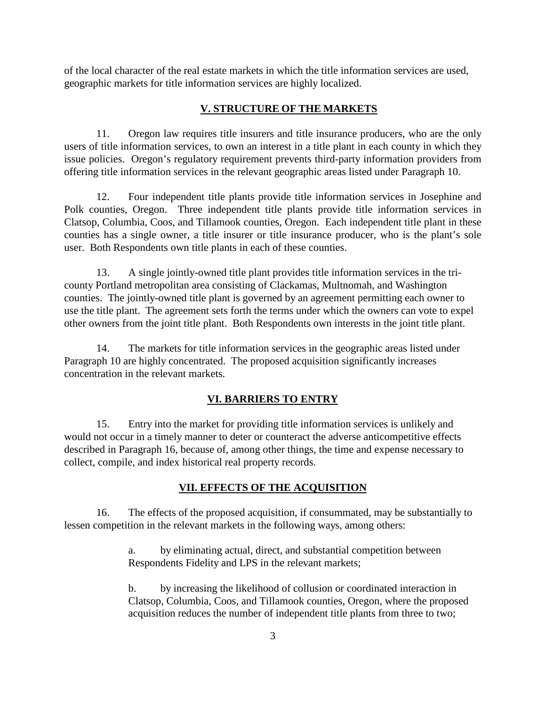of the local character of the real estate markets in which the title information services are used, geographic markets for title information services are highly localized.

## **V. STRUCTURE OF THE MARKETS**

11. Oregon law requires title insurers and title insurance producers, who are the only users of title information services, to own an interest in a title plant in each county in which they issue policies. Oregon's regulatory requirement prevents third-party information providers from offering title information services in the relevant geographic areas listed under Paragraph 10.

12. Four independent title plants provide title information services in Josephine and Polk counties, Oregon. Three independent title plants provide title information services in Clatsop, Columbia, Coos, and Tillamook counties, Oregon. Each independent title plant in these counties has a single owner, a title insurer or title insurance producer, who is the plant's sole user. Both Respondents own title plants in each of these counties.

13. A single jointly-owned title plant provides title information services in the tricounty Portland metropolitan area consisting of Clackamas, Multnomah, and Washington counties. The jointly-owned title plant is governed by an agreement permitting each owner to use the title plant. The agreement sets forth the terms under which the owners can vote to expel other owners from the joint title plant. Both Respondents own interests in the joint title plant.

14. The markets for title information services in the geographic areas listed under Paragraph 10 are highly concentrated. The proposed acquisition significantly increases concentration in the relevant markets.

# **VI. BARRIERS TO ENTRY**

15. Entry into the market for providing title information services is unlikely and would not occur in a timely manner to deter or counteract the adverse anticompetitive effects described in Paragraph 16, because of, among other things, the time and expense necessary to collect, compile, and index historical real property records.

## **VII. EFFECTS OF THE ACQUISITION**

16. The effects of the proposed acquisition, if consummated, may be substantially to lessen competition in the relevant markets in the following ways, among others:

> a. by eliminating actual, direct, and substantial competition between Respondents Fidelity and LPS in the relevant markets;

b. by increasing the likelihood of collusion or coordinated interaction in Clatsop, Columbia, Coos, and Tillamook counties, Oregon, where the proposed acquisition reduces the number of independent title plants from three to two;